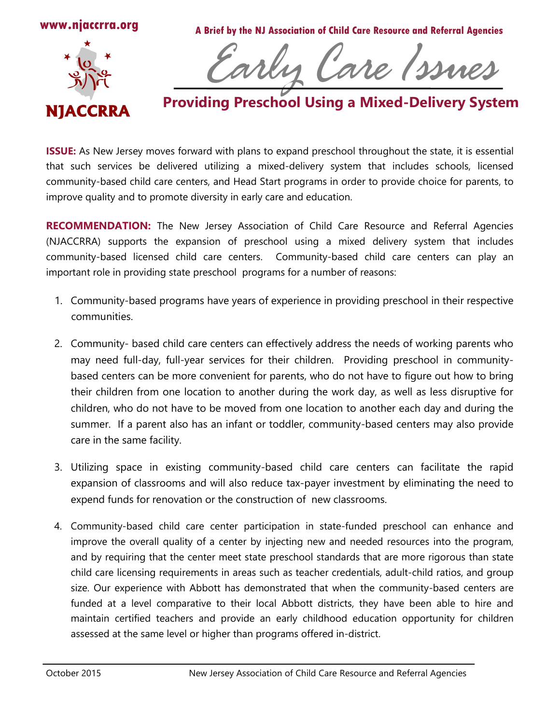

**A Brief by the NJ Association of Child Care Resource and Referral Agencies**



Early Care Issues

## **Providing Preschool Using a Mixed-Delivery System**

**ISSUE:** As New Jersey moves forward with plans to expand preschool throughout the state, it is essential that such services be delivered utilizing a mixed-delivery system that includes schools, licensed community-based child care centers, and Head Start programs in order to provide choice for parents, to improve quality and to promote diversity in early care and education.

**RECOMMENDATION:** The New Jersey Association of Child Care Resource and Referral Agencies (NJACCRRA) supports the expansion of preschool using a mixed delivery system that includes community-based licensed child care centers. Community-based child care centers can play an important role in providing state preschool programs for a number of reasons:

- 1. Community-based programs have years of experience in providing preschool in their respective communities.
- 2. Community- based child care centers can effectively address the needs of working parents who may need full-day, full-year services for their children. Providing preschool in communitybased centers can be more convenient for parents, who do not have to figure out how to bring their children from one location to another during the work day, as well as less disruptive for children, who do not have to be moved from one location to another each day and during the summer. If a parent also has an infant or toddler, community-based centers may also provide care in the same facility.
- 3. Utilizing space in existing community-based child care centers can facilitate the rapid expansion of classrooms and will also reduce tax-payer investment by eliminating the need to expend funds for renovation or the construction of new classrooms.
- 4. Community-based child care center participation in state-funded preschool can enhance and improve the overall quality of a center by injecting new and needed resources into the program, and by requiring that the center meet state preschool standards that are more rigorous than state child care licensing requirements in areas such as teacher credentials, adult-child ratios, and group size. Our experience with Abbott has demonstrated that when the community-based centers are funded at a level comparative to their local Abbott districts, they have been able to hire and maintain certified teachers and provide an early childhood education opportunity for children assessed at the same level or higher than programs offered in-district.